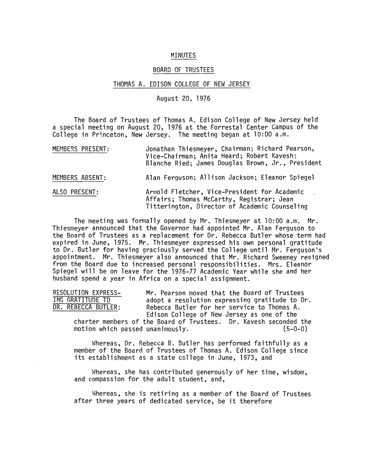## MINUTES

## BOARD OF TRUSTEES

## THOMAS A. EDISON COLLEGE OF NEW JERSEY

## August 20, 1976

The Board of Trustees of Thomas A. Edison College of New Jersey held a special meeting on August 20, 1976 at the Forrestal Center Campus of the College in Princeton, New Jersey. The meeting began at 10:00 a.m.

| MEMBERS PRESENT: | Jonathan Thiesmeyer, Chairman; Richard Pearson,<br>Vice-Chairman; Anita Heard; Robert Kavesh;<br>Blanche Ried; James Douglas Brown, Jr., President |
|------------------|----------------------------------------------------------------------------------------------------------------------------------------------------|
| MEMBERS ABSENT:  | Alan Ferguson; Allison Jackson; Eleanor Spiegel                                                                                                    |
| ALSO PRESENT:    | Arnold Fletcher, Vice-President for Academic<br>Affairs; Thomas McCarthy, Registrar; Jean<br>Titterington, Director of Academic Counseling         |

The meeting was formally opened by Mr. Thiesmeyer at 10:00 a.m. Mr. Thiesmeyer announced that the Governor had appointed Mr. Alan Ferguson to the Board of Trustees as a replacement for Dr. Rebecca Butler whose term had expired in June, 1975. Mr. Thiesmeyer expressed his own personal gratitude to Dr. Butler for having graciously served the College until Mr. Ferguson's appointment. Mr. Thiesmeyer also announced that Mr. Richard Sweeney resigned from the Board due to increased personal responsibilities. Mrs. Eleanor Spiegel will be on leave for the 1976-77 Academic Year while she and her husband spend a year in Africa on a special assignment.

RESOLUTION EXPRESS- Mr. Pearson moved that the Board of Trustees<br>ING GRATITUDE TO adopt a resolution expressing gratitude to D ING GRATITUDE TO adopt a resolution expressing gratitude to Dr.<br>DR. REBECCA BUTLER: Rebecca Butler for her service to Thomas A. Rebecca Butler for her service to Thomas A. Edison College of New Jersey as one of the

charter members of the Board of Trustees. Dr. Kavesh seconded the motion which passed unanimously. (5-0-0)

Whereas, Dr. Rebecca B. Butler has performed faithfully as a member of the Board of Trustees of Thomas A. Edison College since its establishment as a state college in June, 1973, and

Whereas, she has contributed generously of her time, wisdom, and compassion for the adult student, and,

Mhereas, she is retiring as a member of the Board of Trustees after three years of dedicated service, be it therefore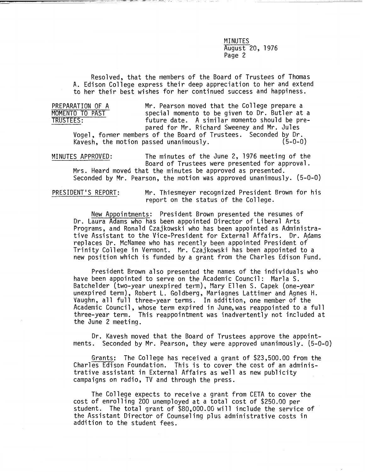**MINUTES** August 20, 1976 Page 2

Resolved, that the members of the Board of Trustees of Thomas A. Edison College express their deep appreciation to her and extend to her their best wishes for her continued success and happiness.

p

PREPARATION OF A Mr. Pearson moved that the College prepare a<br>MOMENTO TO PAST special momento to be given to Dr. Butler at MOMENTO TO PAST **Special momento to be given to Dr. Butler at a**<br>TRUSTEES: future date. A similar momento should be prefuture date. A similar momento should be pre-<br>pared for Mr. Richard Sweeney and Mr. Jules

Vogel, former members of the Board of Trustees. Seconded by Dr.<br>Kavesh, the motion passed unanimously. (5-0-0) Kavesh, the motion passed unanimously.

MINUTES APPROVED: The minutes of the June 2, 1976 meeting of the Board of Trustees were presented for approval. Mrs. Heard moved that the minutes be approved as presented.

Seconded by Mr. Pearson, the motion was approved unanimously. (5-0-0)

PRESIDENT'S REPORT: Mr. Thiesmeyer recognized President Brown for his report on the status of the College.

New Appointments: President Brown presented the resumes of Dr. Laura Adams who has been appointed Director of Liberal Arts Programs, and Ronald Czajkowski who has been appointed as Administrative Assistant to the Vice-President for External Affairs. Dr. Adams replaces Dr. McNamee who has recently been appointed President *of* Trinity College in Vermont. r1r. Czajkowski has been appointed to a new position which is funded by a grant from the Charles Edison Fund.

President Brown also presented the names of the individuals who have been appointed to serve on the Academic Council: Marla S. Batchelder (two-year unexpired term), Mary Ellen S. Capek (one-year unexpired term), Robert L. Goldberg, Mariagnes Lattimer and Agnes H. Vaughn, all full three-year terms. In addition, one member of the Academic Council, whose term expired in June,was reappointed to a full three-year term. This reappointment was inadvertently not included at the June 2 meeting.

Dr. Kavesh moved that the Board of Trustees approve the appointments. Seconded by Mr. Pearson, they were approved unanimously. (5-0-0)

Grants: The College has received a grant of \$23,500.00 from the Charles Edison Foundation. This is to cover the cost of an administrative assistant in External Affairs as well as new publicity campaigns on radio, TV and through the press.

The College expects to receive a grant from CETA to cover the cost of enrolling 200 unemployed at a total cost of \$250.00 per student. The total grant of \$80,000.00 will include the service of the Assistant Director of Counseling plus administrative costs in addition to the student fees.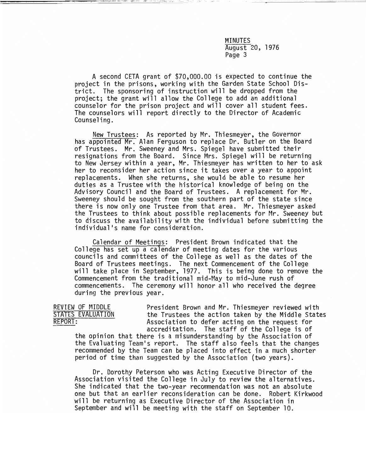MINUTES August 20, 1976 Page 3

A second CETA grant of \$70,000.00 is expected to continue the project in the prisons, working with the Garden State School District. The sponsoring of instruction will be dropped from the project; the grant will allow the College to add an additional counselor for the prison project and will cover all student fees. The counselors will report directly to the Director of Academic Counseling.

New Trustees: As reported by Mr. Thiesmeyer, the Governor has appointed Mr. Alan Ferguson to replace Dr. Butler on the Board of Trustees. Mr. Sweeney and Mrs. Spiegel have submitted their resignations from the Board. Since Mrs. Spiegel will be returning to New Jersey within a year, Mr. Thiesmeyer has written to her to ask her to reconsider her action since it takes over a year to appoint replacements. When she returns, she would be able to resume her duties as a Trustee with the historical knowledge of being on the Advisory Council and the Board of Trustees. A replacement for  $Mr.$ Sweeney should be sought from the southern part of the state since there is now only one Trustee from that area. Mr. Thiesmeyer asked the Trustees to think about possible replacements for Mr. Sweeney but to discuss the availability with the individual before submitting the individual's name for consideration.

Calendar of Meetings: President Brown indicated that the College has set up a calendar of meeting dates for the various councils and committees of the College as well as the dates of the Board of Trustees meetings. The next Commencement of the College will take place in September, 1977. This is being done to remove the Commencement from the traditional mid-May to mid-June rush of commencements. The ceremony will honor all who received the degree during the previous year.

REVIEW OF MIDDLE President Brown and Mr. Thiesmeyer reviewed with<br>STATES EVALUATION the Trustees the action taken by the Middle State STATES EVALUATION the Trustees the action taken by the Middle States<br>REPORT: SASSOCIATION Association to defer acting on the request for Association to defer acting on the request for accreditation. The staff of the College is of the opinion that there is a misunderstanding by the Association of the Evaluating Team's report. The staff also feels that the changes recommended by the Team can be placed into effect in a much shorter period of time than suggested by the Association (two years).

Dr. Dorothy Peterson who was Acting Executive Director of the Association visited the College in July to review the alternatives. She indicated that the two-year recommendation was not an absolute one but that an earlier reconsideration can be done. Robert Kirkwood will be returning as Executive Director of the Association in September and will be meeting with the staff on September 10.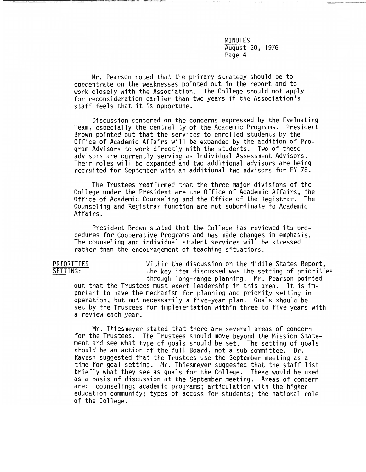MINUTES August 20, 1976 Page 4

Mr. Pearson noted that the primary strategy should be to concentrate on the weaknesses pointed out in the report and to work closely with the Association. The College should not apply for reconsideration earlier than two years if the Association's staff feels that it is opportune.

Discussion centered on the concerns expressed by the Evaluating Team, especially the centrality of the Academic Programs. President Brown pointed out that the services to enrolled students by the Office of Academic Affairs will be expanded by the addition of Program Advisors to work directly with the students. Two of these advisors are currently serving as Individual Assessment Advisors. recruited for September with an additional two advisors for FY 78.

The Trustees reaffirmed that the three major divisions of the College under the President are the Office of Academic Affairs, the Office of Academic Counseling and the Office of the Registrar. The Counseling and Registrar function are not subordinate to Academic Affairs.

President Brown stated that the College has reviewed its procedures for Cooperative Programs and has made changes in emphasis. The counseling and individual student services will be stressed rather than the encouragement of teaching situations.

PRIORITIES Within the discussion on the Middle States Report,<br>SETTING: The key item discussed was the setting of prioriti the key item discussed was the setting of priorities through long-range planning. Mr. Pearson pointed out that the Trustees must exert leadership in this area. It is important to have the mechanism for planning and priority setting in operation, but not necessarily a five-year plan. Goals should be set by the Trustees for implementation within three to five years with a review each year.

Mr. Thiesmeyer stated that there are several areas of concern for the Trustees. The Trustees should move beyond the Mission Statement and see what type of goals should be set. The setting of goals should be an action of the full Board, not a sub-committee. Dr. Kavesh suggested that the Trustees use the September meeting as a time for goal setting. Mr. Thiesmeyer suggested that the staff list briefly what they see as goals for the College. These would be used as a basis of discussion at the September meeting. Areas of concern are: counseling; academic programs; articulation with the higher education community; types of access for students; the national role of the College.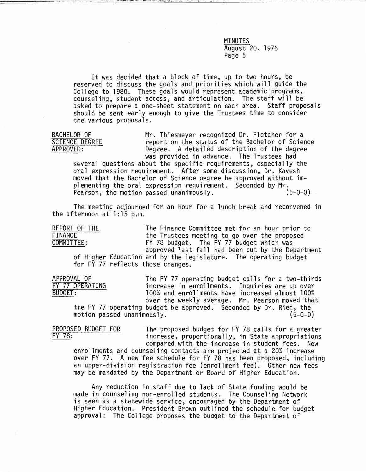MINUTES August 20, 1976 Page 5

It was decided that a block of time, up to two hours, be reserved to discuss the goals and priorities which will guide the College to 1980. These goals would represent academic programs, counseling, student access, and articulation. The staff will be asked to prepare a one-sheet statement on each area. Staff proposals should be sent early enough to give the Trustees time to consider the various proposals.

BACHELOR OF Mr. Thiesmeyer recognized Dr. Fletcher for a<br>SCIENCE DEGREE meport on the status of the Bachelor of Scie SCIENCE DEGREE report on the status of the Bachelor of Science<br>APPROVED: Degree. A detailed description of the degree Degree. A detailed description of the degree was provided in advance. The Trustees had

several questions about the specific requirements, especially the oral expression requirement. After some discussion, Dr. Kavesh moved that the Bachelor of Science degree be approved without implementing the oral expression requirement. Seconded by Mr.<br>Pearson, the motion passed unanimously. (5-0-0) Pearson, the motion passed unanimously.

The meeting adjourned for an hour for a lunch break and reconvened in the afternoon at 1:15 p.m.

REPORT OF THE The Finance Committee met for an hour prior to<br>FINANCE the Trustees meeting to go over the proposed FINANCE the Trustees meeting to go over the proposed<br>
COMMITTEE: FY 78 budget. The FY 77 budget which was FY 78 budget. The FY 77 budget which was approved last fall had been cut by the Department of Higher Education and by the legislature. The operating budget for FY 77 reflects those changes.

APPROVAL OF The FY 77 operating budget calls for a two-thirds FY 77 OPERATING increase in enrollments. Inquiries are up over<br>BUDGET: 100% and enrollments have increased almost 100% 100% and enrollments have increased almost 100% over the weekly average. Mr. Pearson moved that the FY 77 operating budget be approved. Seconded by Dr. Ried, the  $motion$  passed unanimously.

PROPOSED BUDGET FOR The proposed budget for FY 78 calls for a greater<br>FY 78: The proposed budget for FY 78 calls for a greater<br>increase, proportionally, in State appropriations increase, proportionally, in State appropriations compared with the increase in student fees. New

enrollments and counseling contacts are projected at a 20% increase over FY 77. A new fee schedule for FY 78 has been proposed, including an upper-division registration fee (enrollment fee). Other new fees may be mandated by the Department or Board of Higher Education.

Any reduction in staff due to lack of State funding would be made in counseling non-enrolled students. The Counseling Network is seen as a statewide service, encouraged by the Department of Higher Education. President Brown outlined the schedule for budget approval: The College proposes the budget to the Department of